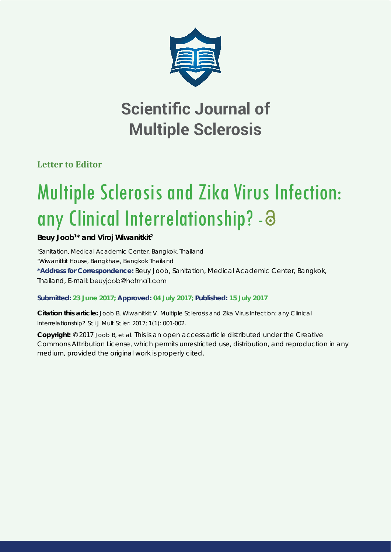

## **Scientific Journal of Multiple Sclerosis**

**Letter to Editor**

# Multiple Sclerosis and Zika Virus Infection: any Clinical Interrelationship? -

### **Beuy Joob1 \* and Viroj Wiwanitkit2**

*1 Sanitation, Medical Academic Center, Bangkok, Thailand 2 Wiwanitkit House, Bangkhae, Bangkok Thailand* **\*Address for Correspondence:** Beuy Joob, Sanitation, Medical Academic Center, Bangkok, Thailand, E-mail: beuyjoob@hotmail.com

#### **Submitted: 23 June 2017; Approved: 04 July 2017; Published: 15 July 2017**

**Citation this article:** Joob B, Wiwanitkit V. Multiple Sclerosis and Zika Virus Infection: any Clinical Interrelationship? Sci J Mult Scler. 2017; 1(1): 001-002.

**Copyright:** © 2017 Joob B, et al. This is an open access article distributed under the Creative Commons Attribution License, which permits unrestricted use, distribution, and reproduction in any medium, provided the original work is properly cited.